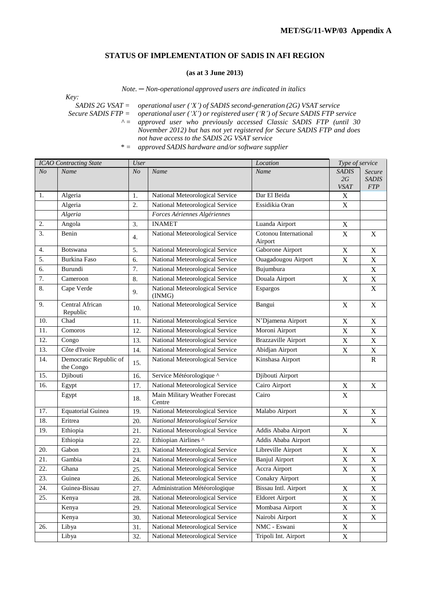## **STATUS OF IMPLEMENTATION OF SADIS IN AFI REGION**

## **(as at 3 June 2013)**

*Note. ─ Non-operational approved users are indicated in italics*

*Key:*

*SADIS 2G VSAT = operational user ('X') of SADIS second-generation (2G) VSAT service*

*Secure SADIS FTP = operational user ('X') or registered user ('R') of Secure SADIS FTP service ^ = approved user who previously accessed Classic SADIS FTP (until 30*

*November 2012) but has not yet registered for Secure SADIS FTP and does not have access to the SADIS 2G VSAT service*

*<sup>\* =</sup> approved SADIS hardware and/or software supplier*

| <b>ICAO</b> Contracting State |                                     | <b>User</b>    |                                           | Location                   | Type of service   |                           |
|-------------------------------|-------------------------------------|----------------|-------------------------------------------|----------------------------|-------------------|---------------------------|
| N <sub>O</sub>                | Name                                | N <sub>O</sub> | Name                                      | Name                       | <b>SADIS</b>      | Secure                    |
|                               |                                     |                |                                           |                            | 2G<br><b>VSAT</b> | <b>SADIS</b><br>FTP       |
| 1.                            | Algeria                             | 1.             | National Meteorological Service           | Dar El Beida               | $\mathbf X$       |                           |
|                               | Algeria                             | 2.             | National Meteorological Service           | Essidikia Oran             | $\mathbf X$       |                           |
|                               | Algeria                             |                | Forces Aériennes Algériennes              |                            |                   |                           |
| 2.                            | Angola                              | 3.             | <b>INAMET</b>                             | Luanda Airport             | X                 |                           |
| 3.                            | Benin                               | 4.             | National Meteorological Service           | Cotonou International      | X                 | $\boldsymbol{X}$          |
|                               |                                     |                |                                           | Airport                    |                   |                           |
| 4.                            | Botswana                            | 5.             | National Meteorological Service           | Gaborone Airport           | $\mathbf X$       | $\mathbf X$               |
| 5.                            | <b>Burkina Faso</b>                 | 6.             | National Meteorological Service           | Ouagadougou Airport        | $\mathbf X$       | $\mathbf X$               |
| 6.                            | Burundi                             | 7.             | National Meteorological Service           | Bujumbura                  |                   | $\mathbf X$               |
| 7.                            | Cameroon                            | 8.             | National Meteorological Service           | Douala Airport             | $\mathbf X$       | $\mathbf X$               |
| 8.                            | Cape Verde                          | 9.             | National Meteorological Service<br>(INMG) | Espargos                   |                   | $\mathbf X$               |
| 9.                            | Central African<br>Republic         | 10.            | National Meteorological Service           | Bangui                     | $\mathbf X$       | $\mathbf X$               |
| 10.                           | Chad                                | 11.            | National Meteorological Service           | N'Djamena Airport          | X                 | $\mathbf X$               |
| 11.                           | Comoros                             | 12.            | National Meteorological Service           | Moroni Airport             | $\mathbf X$       | $\mathbf X$               |
| 12.                           | Congo                               | 13.            | National Meteorological Service           | <b>Brazzaville Airport</b> | $\mathbf X$       | $\boldsymbol{\mathrm{X}}$ |
| 13.                           | Côte d'Ivoire                       | 14.            | National Meteorological Service           | Abidjan Airport            | $\mathbf X$       | $\mathbf X$               |
| 14.                           | Democratic Republic of<br>the Congo | 15.            | National Meteorological Service           | Kinshasa Airport           |                   | ${\bf R}$                 |
| 15.                           | Djibouti                            | 16.            | Service Météorologique ^                  | Djibouti Airport           |                   |                           |
| 16.                           | Egypt                               | 17.            | National Meteorological Service           | Cairo Airport              | $\mathbf X$       | $\mathbf X$               |
|                               | Egypt                               | 18.            | Main Military Weather Forecast<br>Centre  | Cairo                      | $\mathbf X$       |                           |
| 17.                           | <b>Equatorial Guinea</b>            | 19.            | National Meteorological Service           | Malabo Airport             | $\mathbf X$       | $\mathbf X$               |
| 18.                           | Eritrea                             | 20.            | National Meteorological Service           |                            |                   | $\mathbf X$               |
| 19.                           | Ethiopia                            | 21.            | National Meteorological Service           | Addis Ababa Airport        | $\boldsymbol{X}$  |                           |
|                               | Ethiopia                            | 22.            | Ethiopian Airlines ^                      | Addis Ababa Airport        |                   |                           |
| 20.                           | Gabon                               | 23.            | National Meteorological Service           | Libreville Airport         | X                 | X                         |
| 21.                           | Gambia                              | 24.            | National Meteorological Service           | <b>Banjul Airport</b>      | $\mathbf X$       | $\mathbf X$               |
| 22.                           | Ghana                               | 25.            | National Meteorological Service           | Accra Airport              | $\mathbf X$       | $\mathbf X$               |
| 23.                           | Guinea                              | 26.            | National Meteorological Service           | Conakry Airport            |                   | $\mathbf X$               |
| 24.                           | Guinea-Bissau                       | 27.            | Administration Météorologique             | Bissau Intl. Airport       | $\mathbf X$       | $\mathbf X$               |
| 25.                           | Kenya                               | 28.            | National Meteorological Service           | <b>Eldoret Airport</b>     | $\mathbf X$       | $\mathbf X$               |
|                               | Kenya                               | 29.            | National Meteorological Service           | Mombasa Airport            | $\mathbf X$       | $\mathbf X$               |
|                               | Kenya                               | 30.            | National Meteorological Service           | Nairobi Airport            | $\mathbf X$       | $\mathbf X$               |
| 26.                           | Libya                               | 31.            | National Meteorological Service           | NMC - Eswani               | X                 |                           |
|                               | Libya                               | 32.            | National Meteorological Service           | Tripoli Int. Airport       | $\mathbf X$       |                           |